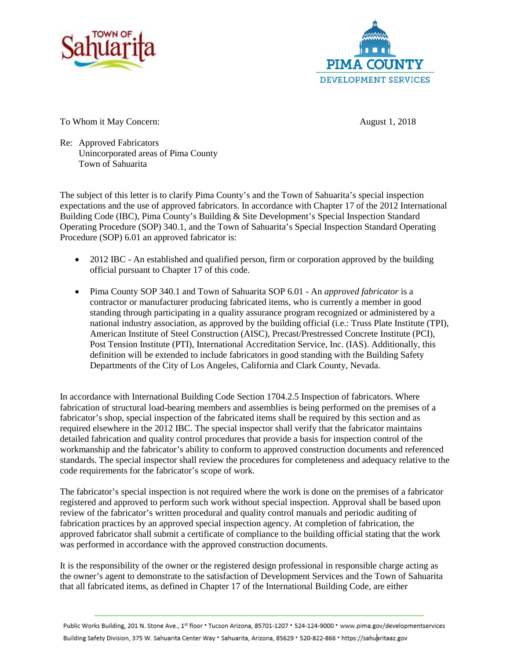



To Whom it May Concern:  $\frac{1}{2018}$ 

Re: Approved Fabricators Unincorporated areas of Pima County Town of Sahuarita

The subject of this letter is to clarify Pima County's and the Town of Sahuarita's special inspection expectations and the use of approved fabricators. In accordance with Chapter 17 of the 2012 International Building Code (IBC), Pima County's Building & Site Development's Special Inspection Standard Operating Procedure (SOP) 340.1, and the Town of Sahuarita's Special Inspection Standard Operating Procedure (SOP) 6.01 an approved fabricator is:

- 2012 IBC An established and qualified person, firm or corporation approved by the building official pursuant to Chapter 17 of this code.
- Pima County SOP 340.1 and Town of Sahuarita SOP 6.01 An *approved fabricator* is a contractor or manufacturer producing fabricated items, who is currently a member in good standing through participating in a quality assurance program recognized or administered by a national industry association, as approved by the building official (i.e.: Truss Plate Institute (TPI), American Institute of Steel Construction (AISC), Precast/Prestressed Concrete Institute (PCI), Post Tension Institute (PTI), International Accreditation Service, Inc. (IAS). Additionally, this definition will be extended to include fabricators in good standing with the Building Safety Departments of the City of Los Angeles, California and Clark County, Nevada.

In accordance with International Building Code Section 1704.2.5 Inspection of fabricators. Where fabrication of structural load-bearing members and assemblies is being performed on the premises of a fabricator's shop, special inspection of the fabricated items shall be required by this section and as required elsewhere in the 2012 IBC. The special inspector shall verify that the fabricator maintains detailed fabrication and quality control procedures that provide a basis for inspection control of the workmanship and the fabricator's ability to conform to approved construction documents and referenced standards. The special inspector shall review the procedures for completeness and adequacy relative to the code requirements for the fabricator's scope of work.

The fabricator's special inspection is not required where the work is done on the premises of a fabricator registered and approved to perform such work without special inspection. Approval shall be based upon review of the fabricator's written procedural and quality control manuals and periodic auditing of fabrication practices by an approved special inspection agency. At completion of fabrication, the approved fabricator shall submit a certificate of compliance to the building official stating that the work was performed in accordance with the approved construction documents.

It is the responsibility of the owner or the registered design professional in responsible charge acting as the owner's agent to demonstrate to the satisfaction of Development Services and the Town of Sahuarita that all fabricated items, as defined in Chapter 17 of the International Building Code, are either